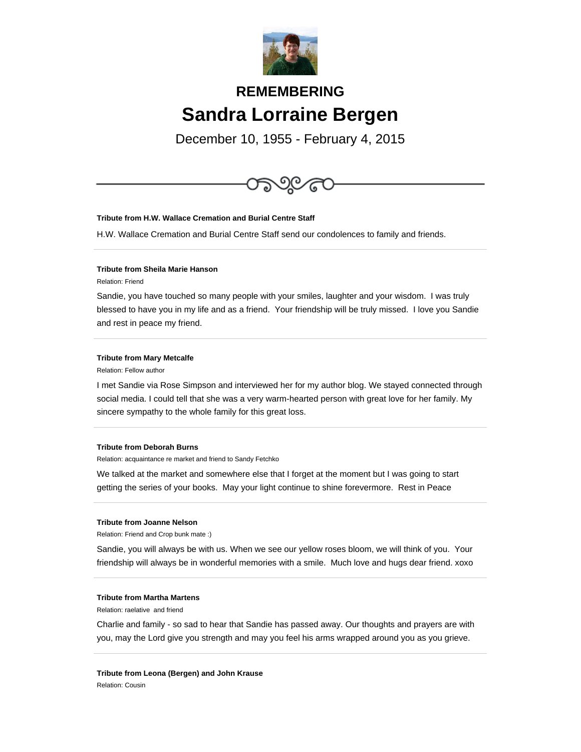

# **REMEMBERING Sandra Lorraine Bergen**

December 10, 1955 - February 4, 2015



H.W. Wallace Cremation and Burial Centre Staff send our condolences to family and friends.

## **Tribute from Sheila Marie Hanson**

Relation: Friend

Sandie, you have touched so many people with your smiles, laughter and your wisdom. I was truly blessed to have you in my life and as a friend. Your friendship will be truly missed. I love you Sandie and rest in peace my friend.

#### **Tribute from Mary Metcalfe**

Relation: Fellow author

I met Sandie via Rose Simpson and interviewed her for my author blog. We stayed connected through social media. I could tell that she was a very warm-hearted person with great love for her family. My sincere sympathy to the whole family for this great loss.

## **Tribute from Deborah Burns**

Relation: acquaintance re market and friend to Sandy Fetchko

We talked at the market and somewhere else that I forget at the moment but I was going to start getting the series of your books. May your light continue to shine forevermore. Rest in Peace

#### **Tribute from Joanne Nelson**

Relation: Friend and Crop bunk mate :)

Sandie, you will always be with us. When we see our yellow roses bloom, we will think of you. Your friendship will always be in wonderful memories with a smile. Much love and hugs dear friend. xoxo

# **Tribute from Martha Martens**

Relation: raelative and friend

Charlie and family - so sad to hear that Sandie has passed away. Our thoughts and prayers are with you, may the Lord give you strength and may you feel his arms wrapped around you as you grieve.